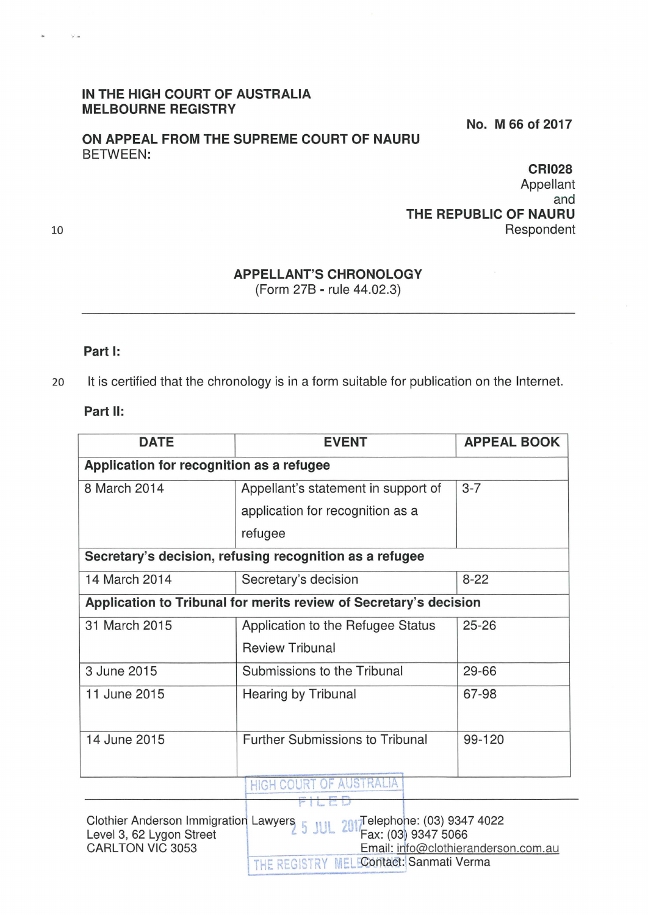## **IN THE HIGH COURT OF AUSTRALIA MELBOURNE REGISTRY**

**ON APPEAL FROM THE SUPREME COURT OF NAURU**  BETWEEN:

**No. M 66 of 2017** 

**CRI028**  Appellant and **THE REPUBLIC OF NAURU**  Respondent

## **APPELLANT'S CHRONOLOGY**

(Form 278 - rule 44.02.3)

## **Part 1:**

20 It is certified that the chronology is in a form suitable for publication on the Internet.

## **Part 11:**

| <b>DATE</b>                                                       | <b>EVENT</b>                                  | <b>APPEAL BOOK</b> |  |
|-------------------------------------------------------------------|-----------------------------------------------|--------------------|--|
| Application for recognition as a refugee                          |                                               |                    |  |
| 8 March 2014                                                      | Appellant's statement in support of           | $3 - 7$            |  |
|                                                                   | application for recognition as a              |                    |  |
|                                                                   | refugee                                       |                    |  |
| Secretary's decision, refusing recognition as a refugee           |                                               |                    |  |
| 14 March 2014                                                     | Secretary's decision                          | $8 - 22$           |  |
| Application to Tribunal for merits review of Secretary's decision |                                               |                    |  |
| 31 March 2015                                                     | Application to the Refugee Status             | $25 - 26$          |  |
|                                                                   | <b>Review Tribunal</b>                        |                    |  |
| 3 June 2015                                                       | Submissions to the Tribunal                   | 29-66              |  |
| 11 June 2015                                                      | Hearing by Tribunal                           | 67-98              |  |
| 14 June 2015                                                      | <b>Further Submissions to Tribunal</b>        | 99-120             |  |
|                                                                   | <b>HIGH COURT OF AUSTRALIA</b><br><b>TILE</b> |                    |  |

Clothier Anderson Immigration Lawyers 5 JUL 2017 Felephone: (03) 9347 4022<br>Fax: (03) 9347 5066 Level 3, 62 Lygon Street CARLTON VIC 3053 Email: info@clothieranderson.com.au THE REGISTRY MELEContact: Sanmati Verma

10

Si an